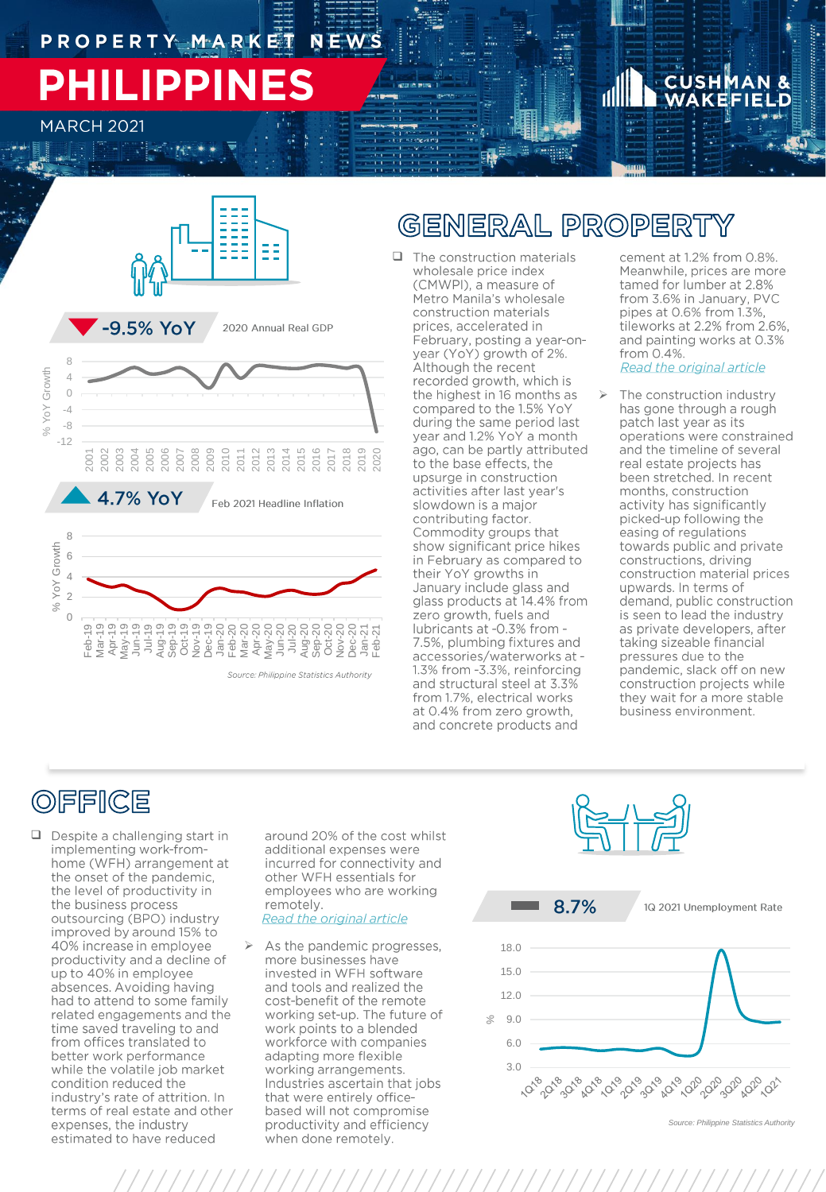# **PHILIPPINES**

**MARCH 2021** 

# **CUSH**





Source: Philippine Statistics Authority

## GENERAL PROPERT

 $\Box$  The construction materials wholesale price index (CMWPI), a measure of Metro Manila's wholesale construction materials prices, accelerated in February, posting a year-onyear (YoY) growth of 2%. Although the recent recorded growth, which is the highest in 16 months as compared to the 1.5% YoY during the same period last year and 1.2% YoY a month ago, can be partly attributed to the base effects, the upsurge in construction activities after last year's slowdown is a major contributing factor. Commodity groups that<br>show significant price hikes in February as compared to their YoY growths in January include glass and glass products at 14.4% from zero growth, fuels and lubricants at -0.3% from -7.5%, plumbing fixtures and accessories/waterworks at -1.3% from -3.3%, reinforcing and structural steel at 3.3% from 1.7%, electrical works at 0.4% from zero growth, and concrete products and

cement at 1.2% from 0.8%. Meanwhile, prices are more tamed for lumber at 2.8% from 3.6% in January, PVC pipes at 0.6% from 1.3%, tileworks at 2.2% from 2.6%, and painting works at 0.3% from 0.4%. Read the original article

The construction industry has gone through a rough patch last year as its operations were constrained and the timeline of several real estate projects has been stretched. In recent months, construction activity has significantly picked-up following the easing of regulations towards public and private constructions, driving construction material prices upwards. In terms of demand, public construction is seen to lead the industry as private developers, after taking sizeable financial pressures due to the pandemic, slack off on new construction projects while they wait for a more stable business environment.

## **OFFICE**

 $\Box$  Despite a challenging start in implementing work-fromhome (WFH) arrangement at the onset of the pandemic, the level of productivity in the business process outsourcing (BPO) industry improved by around 15% to 40% increase in employee productivity and a decline of up to 40% in employee absences. Avoiding having had to attend to some family related engagements and the time saved traveling to and from offices translated to better work performance while the volatile job market condition reduced the industry's rate of attrition. In terms of real estate and other expenses, the industry estimated to have reduced

around 20% of the cost whilst additional expenses were incurred for connectivity and other WFH essentials for employees who are working remotely. Read the original article

As the pandemic progresses, more businesses have invested in WFH software and tools and realized the cost-benefit of the remote working set-up. The future of work points to a blended workforce with companies adapting more flexible working arrangements. Industries ascertain that jobs that were entirely officebased will not compromise productivity and efficiency when done remotely.





/////////////////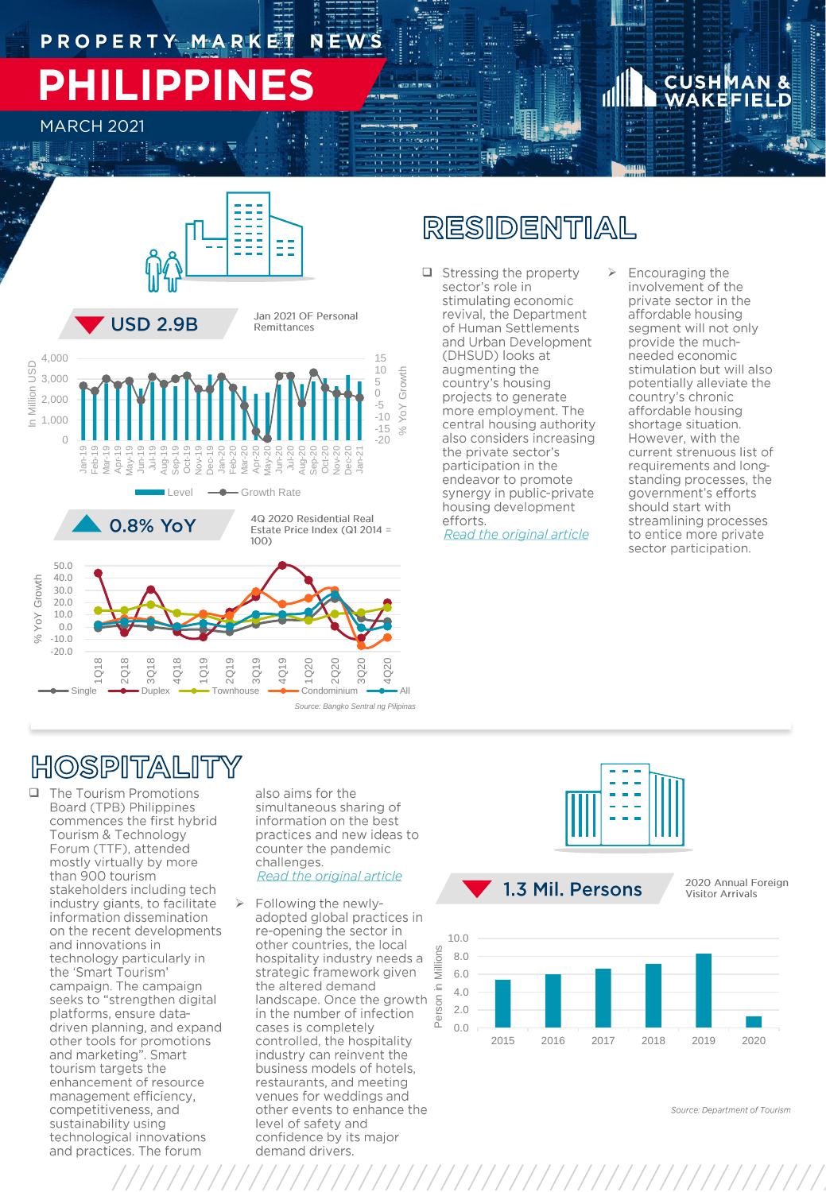# PHILIPPIN

**MARCH 2021** 



### RESIDENTIAL

- $\Box$  Stressing the property sector's role in stimulating economic revival, the Department of Human Settlements and Urban Development (DHSUD) looks at augmenting the country's housing projects to generate more employment. The central housing authority also considers increasing the private sector's participation in the endeavor to promote synergy in public-private housing development efforts. Read the original article
- Encouraging the involvement of the private sector in the affordable housing segment will not only provide the muchneeded economic stimulation but will also potentially alleviate the country's chronic affordable housing shortage situation. However, with the current strenuous list of requirements and longstanding processes, the government's efforts should start with streamlining processes to entice more private sector participation.

### HOSPITALITY

Single

 $\hfill \square$ The Tourism Promotions Board (TPB) Philippines commences the first hybrid Tourism & Technology<br>Forum (TTF), attended mostly virtually by more than 900 tourism stakeholders including tech industry giants, to facilitate information dissemination on the recent developments and innovations in technology particularly in the 'Smart Tourism' campaign. The campaign seeks to "strengthen digital platforms, ensure datadriven planning, and expand other tools for promotions<br>and marketing". Smart tourism targets the enhancement of resource management efficiency, competitiveness, and sustainability using technological innovations and practices. The forum

also aims for the simultaneous sharing of information on the best practices and new ideas to counter the pandemic challenges. **Read the original article** 

Source: Bangko Sentral ng Pilipinas

Following the newlyadopted global practices in re-opening the sector in other countries, the local hospitality industry needs a strategic framework given the altered demand landscape. Once the growth in the number of infection cases is completely controlled, the hospitality industry can reinvent the business models of hotels, restaurants, and meeting venues for weddings and other events to enhance the level of safety and confidence by its major demand drivers.



2020 Annual Foreign **Visitor Arrivals** 



Source: Department of Tourism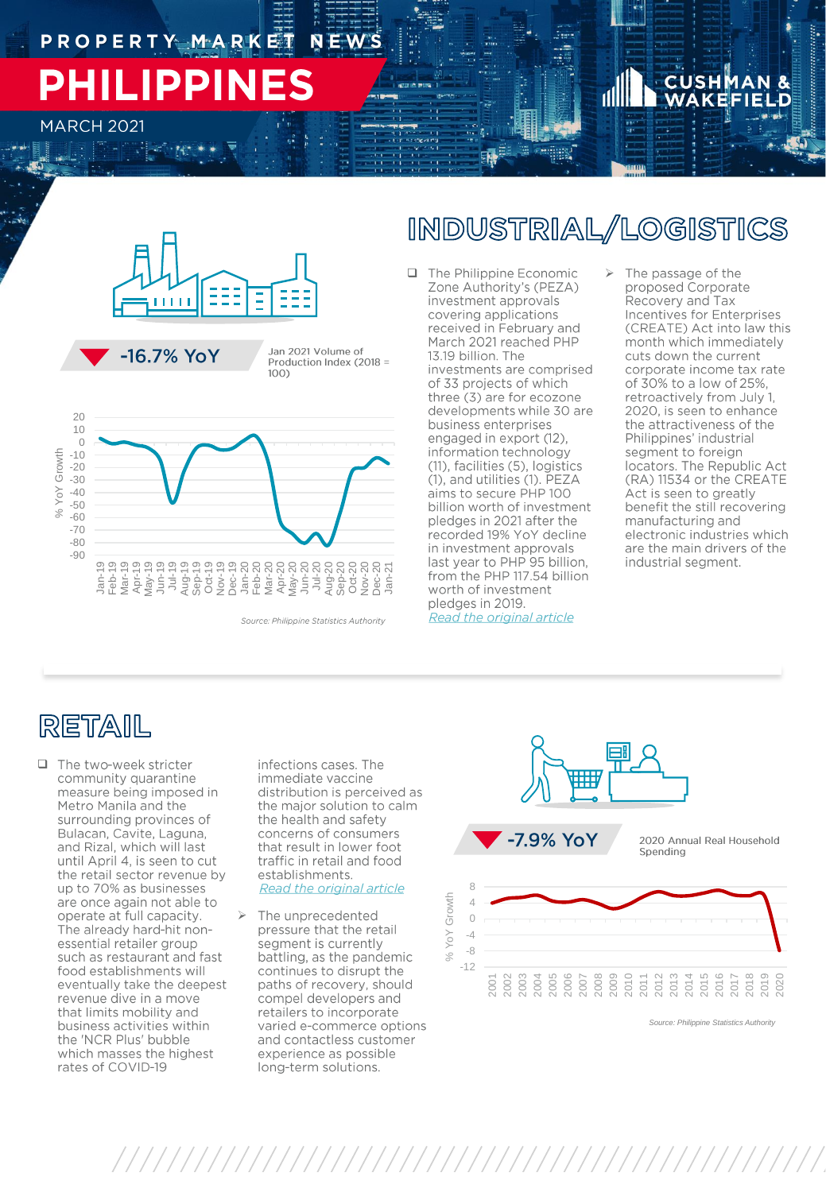## PROPERTY MARKET NEWS **PHILIPPINES**

**MARCH 2021** 



Jan 2021 Volume of Production Index (2018 =  $100)$ 



### INDUSTRIAL/LOGISTICS

- □ The Philippine Economic ><br>Zone Authority's (PEZA) investment approvals covering applications received in February and March 2021 reached PHP 13.19 billion. The investments are comprised of 33 projects of which three (3) are for ecozone developments while 30 are business enterprises engaged in export (12), information technology (11), facilities (5), logistics (1), and utilities (1). PEZA aims to secure PHP 100 billion worth of investment pledges in 2021 after the recorded 19% YoY decline in investment approvals last year to PHP 95 billion, from the PHP 117.54 billion worth of investment pledges in 2019. Read the original article
- The passage of the proposed Corporate Recovery and Tax Incentives for Enterprises (CREATE) Act into law this month which immediately cuts down the current corporate income tax rate of 30% to a low of 25%, retroactively from July 1, 2020, is seen to enhance the attractiveness of the Philippines' industrial segment to foreign locators. The Republic Act (RA) 11534 or the CREATE Act is seen to greatly benefit the still recovering manufacturing and electronic industries which are the main drivers of the industrial segment.

## RETAIL

□ The two-week stricter community quarantine measure being imposed in Metro Manila and the surrounding provinces of Bulacan, Cavite, Laguna, and Rizal, which will last until April 4, is seen to cut the retail sector revenue by up to 70% as businesses are once again not able to operate at full capacity. The already hard-hit nonessential retailer group such as restaurant and fast food establishments will eventually take the deepest revenue dive in a move that limits mobility and business activities within the 'NCR Plus' bubble which masses the highest rates of COVID-19

infections cases. The immediate vaccine distribution is perceived as the major solution to calm the health and safety concerns of consumers that result in lower foot traffic in retail and food establishments. Read the original article

➢ The unprecedented pressure that the retail segment is currently battling, as the pandemic continues to disrupt the paths of recovery, should compel developers and retailers to incorporate varied e-commerce options and contactless customer experience as possible long-term solutions.



*Source: Philippine Statistics Authority*